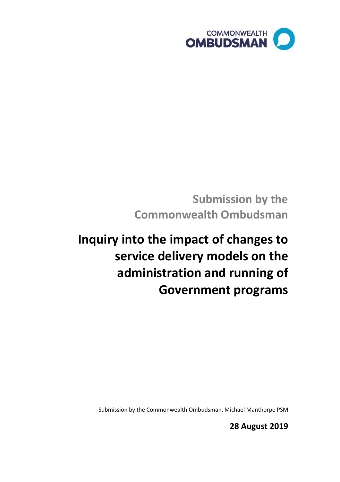

**Submission by the Commonwealth Ombudsman**

# **Inquiry into the impact of changes to service delivery models on the administration and running of Government programs**

Submission by the Commonwealth Ombudsman, Michael Manthorpe PSM

**28 August 2019**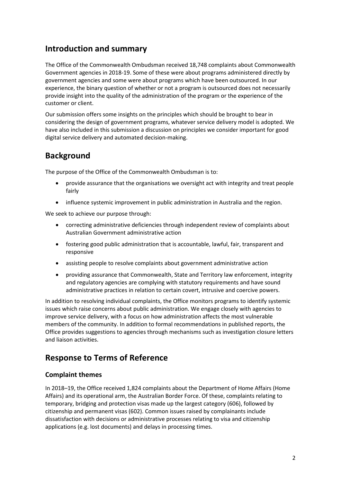## **Introduction and summary**

The Office of the Commonwealth Ombudsman received 18,748 complaints about Commonwealth Government agencies in 2018-19. Some of these were about programs administered directly by government agencies and some were about programs which have been outsourced. In our experience, the binary question of whether or not a program is outsourced does not necessarily provide insight into the quality of the administration of the program or the experience of the customer or client.

Our submission offers some insights on the principles which should be brought to bear in considering the design of government programs, whatever service delivery model is adopted. We have also included in this submission a discussion on principles we consider important for good digital service delivery and automated decision-making.

## **Background**

The purpose of the Office of the Commonwealth Ombudsman is to:

- provide assurance that the organisations we oversight act with integrity and treat people fairly
- influence systemic improvement in public administration in Australia and the region.

We seek to achieve our purpose through:

- correcting administrative deficiencies through independent review of complaints about Australian Government administrative action
- fostering good public administration that is accountable, lawful, fair, transparent and responsive
- assisting people to resolve complaints about government administrative action
- providing assurance that Commonwealth, State and Territory law enforcement, integrity and regulatory agencies are complying with statutory requirements and have sound administrative practices in relation to certain covert, intrusive and coercive powers.

In addition to resolving individual complaints, the Office monitors programs to identify systemic issues which raise concerns about public administration. We engage closely with agencies to improve service delivery, with a focus on how administration affects the most vulnerable members of the community. In addition to formal recommendations in published reports, the Office provides suggestions to agencies through mechanisms such as investigation closure letters and liaison activities.

## **Response to Terms of Reference**

#### **Complaint themes**

In 2018–19, the Office received 1,824 complaints about the Department of Home Affairs (Home Affairs) and its operational arm, the Australian Border Force. Of these, complaints relating to temporary, bridging and protection visas made up the largest category (606), followed by citizenship and permanent visas (602). Common issues raised by complainants include dissatisfaction with decisions or administrative processes relating to visa and citizenship applications (e.g. lost documents) and delays in processing times.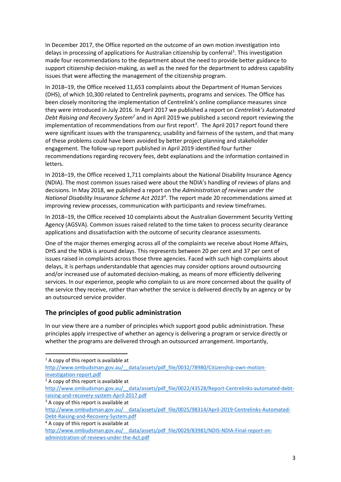In December 2017, the Office reported on the outcome of an own motion investigation into delays in processing of applications for Australian citizenship by conferral<sup>[1](#page-2-0)</sup>. This investigation made four recommendations to the department about the need to provide better guidance to support citizenship decision-making, as well as the need for the department to address capability issues that were affecting the management of the citizenship program.

In 2018–19, the Office received 11,653 complaints about the Department of Human Services (DHS), of which 10,300 related to Centrelink payments, programs and services. The Office has been closely monitoring the implementation of Centrelink's online compliance measures since they were introduced in July 2016. In April 2017 we published a report on *Centrelink's Automated Debt Raising and Recovery System[2](#page-2-1)* and in April 2019 we published a second report reviewing the implementation of recommendations from our first report<sup>[3](#page-2-2)</sup>. The April 2017 report found there were significant issues with the transparency, usability and fairness of the system, and that many of these problems could have been avoided by better project planning and stakeholder engagement. The follow-up report published in April 2019 identified four further recommendations regarding recovery fees, debt explanations and the information contained in letters.

In 2018–19, the Office received 1,711 complaints about the National Disability Insurance Agency (NDIA). The most common issues raised were about the NDIA's handling of reviews of plans and decisions. In May 2018, we published a report on the *Administration of reviews under the National Disability Insurance Scheme Act 2013[4](#page-2-3)* . The report made 20 recommendations aimed at improving review processes, communication with participants and review timeframes.

In 2018–19, the Office received 10 complaints about the Australian Government Security Vetting Agency (AGSVA). Common issues raised related to the time taken to process security clearance applications and dissatisfaction with the outcome of security clearance assessments.

One of the major themes emerging across all of the complaints we receive about Home Affairs, DHS and the NDIA is around delays. This represents between 20 per cent and 37 per cent of issues raised in complaints across those three agencies. Faced with such high complaints about delays, it is perhaps understandable that agencies may consider options around outsourcing and/or increased use of automated decision-making, as means of more efficiently delivering services. In our experience, people who complain to us are more concerned about the quality of the service they receive, rather than whether the service is delivered directly by an agency or by an outsourced service provider.

#### **The principles of good public administration**

In our view there are a number of principles which support good public administration. These principles apply irrespective of whether an agency is delivering a program or service directly or whether the programs are delivered through an outsourced arrangement. Importantly,

<span id="page-2-0"></span> $<sup>1</sup>$  A copy of this report is available at</sup>

[http://www.ombudsman.gov.au/\\_\\_data/assets/pdf\\_file/0032/78980/Citizenship-own-motion](http://www.ombudsman.gov.au/__data/assets/pdf_file/0032/78980/Citizenship-own-motion-investigation-report.pdf)[investigation-report.pdf](http://www.ombudsman.gov.au/__data/assets/pdf_file/0032/78980/Citizenship-own-motion-investigation-report.pdf)

<span id="page-2-1"></span> $2A$  copy of this report is available at

[http://www.ombudsman.gov.au/\\_\\_data/assets/pdf\\_file/0022/43528/Report-Centrelinks-automated-debt](http://www.ombudsman.gov.au/__data/assets/pdf_file/0022/43528/Report-Centrelinks-automated-debt-raising-and-recovery-system-April-2017.pdf)[raising-and-recovery-system-April-2017.pdf](http://www.ombudsman.gov.au/__data/assets/pdf_file/0022/43528/Report-Centrelinks-automated-debt-raising-and-recovery-system-April-2017.pdf)

<span id="page-2-2"></span> $3$  A copy of this report is available at

[http://www.ombudsman.gov.au/\\_\\_data/assets/pdf\\_file/0025/98314/April-2019-Centrelinks-Automated-](http://www.ombudsman.gov.au/__data/assets/pdf_file/0025/98314/April-2019-Centrelinks-Automated-Debt-Raising-and-Recovery-System.pdf)[Debt-Raising-and-Recovery-System.pdf](http://www.ombudsman.gov.au/__data/assets/pdf_file/0025/98314/April-2019-Centrelinks-Automated-Debt-Raising-and-Recovery-System.pdf)

<span id="page-2-3"></span><sup>4</sup> A copy of this report is available at

[http://www.ombudsman.gov.au/\\_\\_data/assets/pdf\\_file/0029/83981/NDIS-NDIA-Final-report-on](http://www.ombudsman.gov.au/__data/assets/pdf_file/0029/83981/NDIS-NDIA-Final-report-on-administration-of-reviews-under-the-Act.pdf)[administration-of-reviews-under-the-Act.pdf](http://www.ombudsman.gov.au/__data/assets/pdf_file/0029/83981/NDIS-NDIA-Final-report-on-administration-of-reviews-under-the-Act.pdf)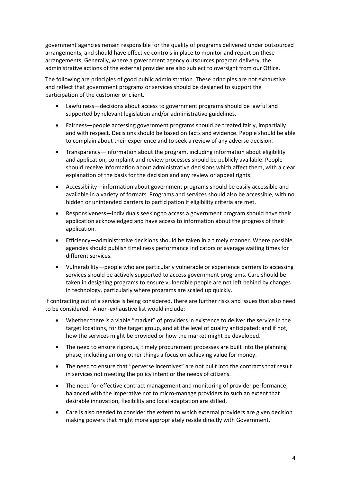government agencies remain responsible for the quality of programs delivered under outsourced arrangements, and should have effective controls in place to monitor and report on these arrangements. Generally, where a government agency outsources program delivery, the administrative actions of the external provider are also subject to oversight from our Office.

The following are principles of good public administration. These principles are not exhaustive and reflect that government programs or services should be designed to support the participation of the customer or client.

- Lawfulness—decisions about access to government programs should be lawful and supported by relevant legislation and/or administrative guidelines.
- Fairness—people accessing government programs should be treated fairly, impartially and with respect. Decisions should be based on facts and evidence. People should be able to complain about their experience and to seek a review of any adverse decision.
- Transparency—information about the program, including information about eligibility and application, complaint and review processes should be publicly available. People should receive information about administrative decisions which affect them, with a clear explanation of the basis for the decision and any review or appeal rights.
- Accessibility—information about government programs should be easily accessible and available in a variety of formats. Programs and services should also be accessible, with no hidden or unintended barriers to participation if eligibility criteria are met.
- Responsiveness—individuals seeking to access a government program should have their application acknowledged and have access to information about the progress of their application.
- Efficiency—administrative decisions should be taken in a timely manner. Where possible, agencies should publish timeliness performance indicators or average waiting times for different services.
- Vulnerability—people who are particularly vulnerable or experience barriers to accessing services should be actively supported to access government programs. Care should be taken in designing programs to ensure vulnerable people are not left behind by changes in technology, particularly where programs are scaled up quickly.

If contracting out of a service is being considered, there are further risks and issues that also need to be considered. A non-exhaustive list would include:

- Whether there is a viable "market" of providers in existence to deliver the service in the target locations, for the target group, and at the level of quality anticipated; and if not, how the services might be provided or how the market might be developed.
- The need to ensure rigorous, timely procurement processes are built into the planning phase, including among other things a focus on achieving value for money.
- The need to ensure that "perverse incentives" are not built into the contracts that result in services not meeting the policy intent or the needs of citizens.
- The need for effective contract management and monitoring of provider performance; balanced with the imperative not to micro-manage providers to such an extent that desirable innovation, flexibility and local adaptation are stifled.
- Care is also needed to consider the extent to which external providers are given decision making powers that might more appropriately reside directly with Government.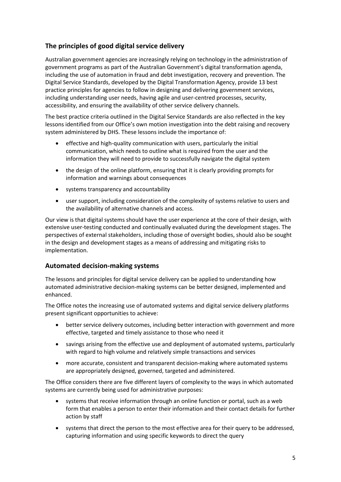### **The principles of good digital service delivery**

Australian government agencies are increasingly relying on technology in the administration of government programs as part of the Australian Government's digital transformation agenda, including the use of automation in fraud and debt investigation, recovery and prevention. The Digital Service Standards, developed by the Digital Transformation Agency, provide 13 best practice principles for agencies to follow in designing and delivering government services, including understanding user needs, having agile and user-centred processes, security, accessibility, and ensuring the availability of other service delivery channels.

The best practice criteria outlined in the Digital Service Standards are also reflected in the key lessons identified from our Office's own motion investigation into the debt raising and recovery system administered by DHS. These lessons include the importance of:

- effective and high-quality communication with users, particularly the initial communication, which needs to outline what is required from the user and the information they will need to provide to successfully navigate the digital system
- the design of the online platform, ensuring that it is clearly providing prompts for information and warnings about consequences
- systems transparency and accountability
- user support, including consideration of the complexity of systems relative to users and the availability of alternative channels and access.

Our view is that digital systems should have the user experience at the core of their design, with extensive user-testing conducted and continually evaluated during the development stages. The perspectives of external stakeholders, including those of oversight bodies, should also be sought in the design and development stages as a means of addressing and mitigating risks to implementation.

#### **Automated decision-making systems**

The lessons and principles for digital service delivery can be applied to understanding how automated administrative decision-making systems can be better designed, implemented and enhanced.

The Office notes the increasing use of automated systems and digital service delivery platforms present significant opportunities to achieve:

- better service delivery outcomes, including better interaction with government and more effective, targeted and timely assistance to those who need it
- savings arising from the effective use and deployment of automated systems, particularly with regard to high volume and relatively simple transactions and services
- more accurate, consistent and transparent decision-making where automated systems are appropriately designed, governed, targeted and administered.

The Office considers there are five different layers of complexity to the ways in which automated systems are currently being used for administrative purposes:

- systems that receive information through an online function or portal, such as a web form that enables a person to enter their information and their contact details for further action by staff
- systems that direct the person to the most effective area for their query to be addressed, capturing information and using specific keywords to direct the query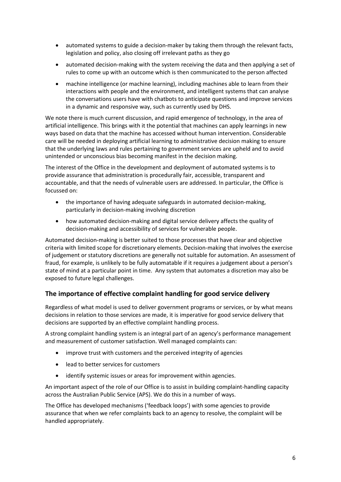- automated systems to guide a decision-maker by taking them through the relevant facts, legislation and policy, also closing off irrelevant paths as they go
- automated decision-making with the system receiving the data and then applying a set of rules to come up with an outcome which is then communicated to the person affected
- machine intelligence (or machine learning), including machines able to learn from their interactions with people and the environment, and intelligent systems that can analyse the conversations users have with chatbots to anticipate questions and improve services in a dynamic and responsive way, such as currently used by DHS.

We note there is much current discussion, and rapid emergence of technology, in the area of artificial intelligence. This brings with it the potential that machines can apply learnings in new ways based on data that the machine has accessed without human intervention. Considerable care will be needed in deploying artificial learning to administrative decision making to ensure that the underlying laws and rules pertaining to government services are upheld and to avoid unintended or unconscious bias becoming manifest in the decision making.

The interest of the Office in the development and deployment of automated systems is to provide assurance that administration is procedurally fair, accessible, transparent and accountable, and that the needs of vulnerable users are addressed. In particular, the Office is focussed on:

- the importance of having adequate safeguards in automated decision-making, particularly in decision-making involving discretion
- how automated decision-making and digital service delivery affects the quality of decision-making and accessibility of services for vulnerable people.

Automated decision-making is better suited to those processes that have clear and objective criteria with limited scope for discretionary elements. Decision-making that involves the exercise of judgement or statutory discretions are generally not suitable for automation. An assessment of fraud, for example, is unlikely to be fully automatable if it requires a judgement about a person's state of mind at a particular point in time. Any system that automates a discretion may also be exposed to future legal challenges.

#### **The importance of effective complaint handling for good service delivery**

Regardless of what model is used to deliver government programs or services, or by what means decisions in relation to those services are made, it is imperative for good service delivery that decisions are supported by an effective complaint handling process.

A strong complaint handling system is an integral part of an agency's performance management and measurement of customer satisfaction. Well managed complaints can:

- improve trust with customers and the perceived integrity of agencies
- lead to better services for customers
- identify systemic issues or areas for improvement within agencies.

An important aspect of the role of our Office is to assist in building complaint-handling capacity across the Australian Public Service (APS). We do this in a number of ways.

The Office has developed mechanisms ('feedback loops') with some agencies to provide assurance that when we refer complaints back to an agency to resolve, the complaint will be handled appropriately.